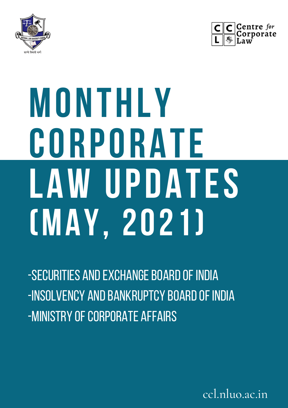



# **MONTHLY CORPORATE LAW UPDATES (MAY, 2021)**

-SECURITIES AND EXCHANGE BOARD OF INDIA -INSOLVENCY AND BANKRUPTCY BOARD OF INDIA -MINISTRY OF CORPORATE AFFAIRS

ccl.nluo.ac.in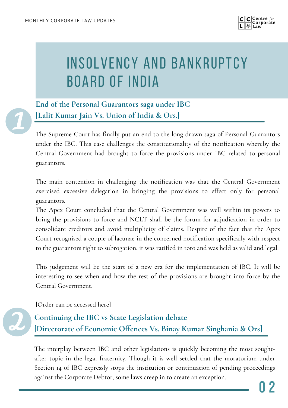

## INSOLVENCY AND BANKRUPTCY BOARD OF INDIA

**End of the Personal Guarantors saga under IBC [Lalit Kumar Jain Vs. Union of India & Ors.]**

The Supreme Court has finally put an end to the long drawn saga of Personal Guarantors under the IBC. This case challenges the constitutionality of the notification whereby the Central Government had brought to force the provisions under IBC related to personal guarantors.

The main contention in challenging the notification was that the Central Government exercised excessive delegation in bringing the provisions to effect only for personal guarantors.

The Apex Court concluded that the Central Government was well within its powers to bring the provisions to force and NCLT shall be the forum for adjudication in order to consolidate creditors and avoid multiplicity of claims. Despite of the fact that the Apex Court recognised a couple of lacunae in the concerned notification specifically with respect to the guarantors right to subrogation, it was ratified in toto and was held as valid and legal.

This judgement will be the start of a new era for the implementation of IBC. It will be interesting to see when and how the rest of the provisions are brought into force by the Central Government.

[Order can be accessed [here](https://main.sci.gov.in/supremecourt/2020/26016/26016_2020_37_1501_28029_Judgement_21-May-2021.pdf)**]**

**Continuing the IBC vs State Legislation debate [Directorate of Economic Offences Vs. Binay Kumar Singhania & Ors]**

The interplay between IBC and other legislations is quickly becoming the most soughtafter topic in the legal fraternity. Though it is well settled that the moratorium under Section 14 of IBC expressly stops the institution or continuation of pending proceedings against the Corporate Debtor, some laws creep in to create an exception.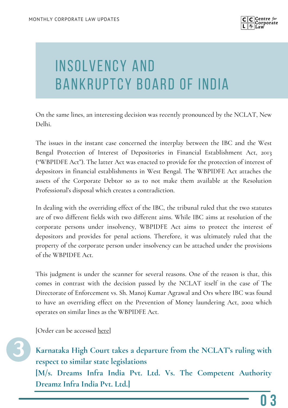

# INSOLVENCY AND BANKRUPTCY BOARD OF INDIA

On the same lines, an interesting decision was recently pronounced by the NCLAT, New Delhi.

The issues in the instant case concerned the interplay between the IBC and the West Bengal Protection of Interest of Depositories in Financial Establishment Act, 2013 ("WBPIDFE Act"). The latter Act was enacted to provide for the protection of interest of depositors in financial establishments in West Bengal. The WBPIDFE Act attaches the assets of the Corporate Debtor so as to not make them available at the Resolution Professional's disposal which creates a contradiction.

In dealing with the overriding effect of the IBC, the tribunal ruled that the two statutes are of two different fields with two different aims. While IBC aims at resolution of the corporate persons under insolvency, WBPIDFE Act aims to protect the interest of depositors and provides for penal actions. Therefore, it was ultimately ruled that the property of the corporate person under insolvency can be attached under the provisions of the WBPIDFE Act.

This judgment is under the scanner for several reasons. One of the reason is that, this comes in contrast with the decision passed by the NCLAT itself in the case of The Directorate of Enforcement vs. Sh. Manoj Kumar Agrawal and Ors where IBC was found to have an overriding effect on the Prevention of Money laundering Act, 2002 which operates on similar lines as the WBPIDFE Act.

[Order can be accessed [here](https://nclat.nic.in/Useradmin/upload/6173227986091315049423.pdf)]



**Karnataka High Court takes a departure from the NCLAT's ruling with respect to similar state legislations**

**[M/s. Dreams Infra India Pvt. Ltd. Vs. The Competent Authority Dreamz Infra India Pvt. Ltd.]**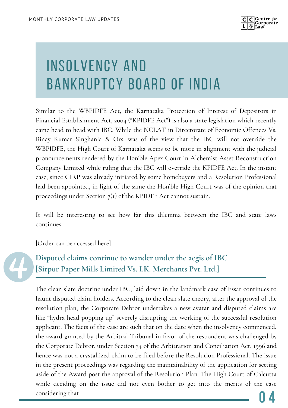

# INSOLVENCY AND BANKRUPTCY BOARD OF INDIA

Similar to the WBPIDFE Act, the Karnataka Protection of Interest of Depositors in Financial Establishment Act, 2004 ("KPIDFE Act") is also a state legislation which recently came head to head with IBC. While the NCLAT in Directorate of Economic Offences Vs. Binay Kumar Singhania & Ors. was of the view that the IBC will not override the WBPIDFE, the High Court of Karnataka seems to be more in alignment with the judicial pronouncements rendered by the Hon'ble Apex Court in Alchemist Asset Reconstruction Company Limited while ruling that the IBC will override the KPIDFE Act. In the instant case, since CIRP was already initiated by some homebuyers and a Resolution Professional had been appointed, in light of the same the Hon'ble High Court was of the opinion that proceedings under Section  $7<sub>(1)</sub>$  of the KPIDFE Act cannot sustain.

It will be interesting to see how far this dilemma between the IBC and state laws continues.

[Order can be accessed [here](https://ibbi.gov.in/uploads/order/838c03159f9b3a0fe366f672c495bc10.pdf)]



**Disputed claims continue to wander under the aegis of IBC [Sirpur Paper Mills Limited Vs. I.K. Merchants Pvt. Ltd.]**

The clean slate doctrine under IBC, laid down in the landmark case of Essar continues to haunt disputed claim holders. According to the clean slate theory, after the approval of the resolution plan, the Corporate Debtor undertakes a new avatar and disputed claims are like "hydra head popping up" severely disrupting the working of the successful resolution applicant. The facts of the case are such that on the date when the insolvency commenced, the award granted by the Arbitral Tribunal in favor of the respondent was challenged by the Corporate Debtor. under Section 34 of the Arbitration and Conciliation Act, 1996 and hence was not a crystallized claim to be filed before the Resolution Professional. The issue in the present proceedings was regarding the maintainability of the application for setting aside of the Award post the approval of the Resolution Plan. The High Court of Calcutta while deciding on the issue did not even bother to get into the merits of the case considering that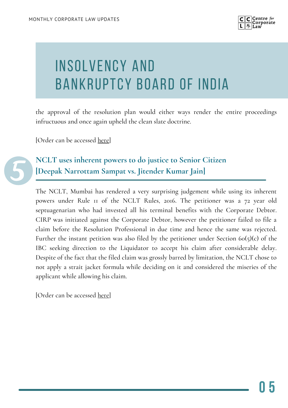

# INSOLVENCY AND BANKRUPTCY BOARD OF INDIA

the approval of the resolution plan would either ways render the entire proceedings infructuous and once again upheld the clean slate doctrine.

[Order can be accessed [here](https://www.livelaw.in/pdf_upload/display-14-393144.pdf)]



**NCLT uses inherent powers to do justice to Senior Citizen [Deepak Narrottam Sampat vs. Jitender Kumar Jain]**

The NCLT, Mumbai has rendered a very surprising judgement while using its inherent powers under Rule 11 of the NCLT Rules, 2016. The petitioner was a 72 year old septuagenarian who had invested all his terminal benefits with the Corporate Debtor. CIRP was initiated against the Corporate Debtor, however the petitioner failed to file a claim before the Resolution Professional in due time and hence the same was rejected. Further the instant petition was also filed by the petitioner under Section  $60(5)(c)$  of the IBC seeking direction to the Liquidator to accept his claim after considerable delay. Despite of the fact that the filed claim was grossly barred by limitation, the NCLT chose to not apply a strait jacket formula while deciding on it and considered the miseries of the applicant while allowing his claim.

[Order can be accessed [here](https://nclt.gov.in/sites/default/files/January2021/final-orders-pdf/IA%20252%20of%202021%20in%20CP%201055%20of%202017%20Roofit%20Industries%20Ltd%20NCLT%20ON%2019.05.2021%20FINAL.pdf)]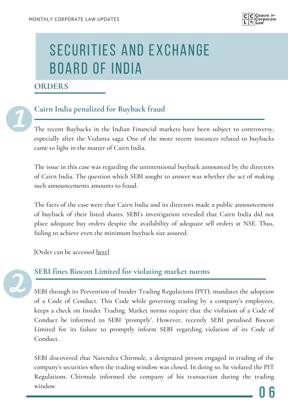

#### **ORDERS**



## **Cairn India penalized for Buyback fraud**

The recent Buybacks in the Indian Financial markets have been subject to controversy, especially after the Vedanta saga. One of the more recent instances related to buybacks came to light in the matter of Cairn India.

The issue in this case was regarding the unintentional buyback announced by the directors of Cairn India. The question which SEBI sought to answer was whether the act of making such announcements amounts to fraud.

The facts of the case were that Cairn India and its directors made a public announcement of buyback of their listed shares. SEBI's investigation revealed that Cairn India did not place adequate buy orders despite the availability of adequate sell orders at NSE. Thus, failing to achieve even the minimum buyback size assured.

[Order can be accessed [here](https://www.sebi.gov.in/enforcement/orders/may-2021/adjudication-order-in-respect-of-cairn-india-ltd-p-elango-aman-mehta-and-neerja-sharma-in-the-matter-of-cairn-india-ltd-_50186.html)]



### **SEBI fines Biocon Limited for violating market norms**

SEBI through its Prevention of Insider Trading Regulations (PIT), mandates the adoption of a Code of Conduct. This Code while governing trading by a company's employees, keeps a check on Insider Trading. Market norms require that the violation of a Code of Conduct be informed to SEBI 'promptly'. However, recently SEBI penalised Biocon Limited for its failure to promptly inform SEBI regarding violation of its Code of Conduct.

SEBI discovered that Narendra Chirmule, a designated person engaged in trading of the company's securities when the trading window was closed. In doing so, he violated the PIT Regulations. Chirmule informed the company of his transaction during the trading window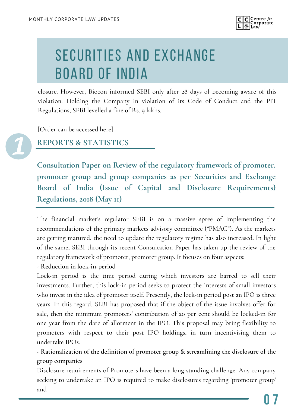

closure. However, Biocon informed SEBI only after 28 days of becoming aware of this violation. Holding the Company in violation of its Code of Conduct and the PIT Regulations, SEBI levelled a fine of Rs. 9 lakhs.

[Order can be accessed [here\]](https://www.sebi.gov.in/enforcement/orders/may-2021/adjudication-order-in-respect-of-narendra-chirmule-and-biocon-ltd-in-the-matter-of-biocon-ltd-_50187.html)

**REPORTS & STATISTICS**

**Consultation Paper on Review of the regulatory framework of promoter, promoter group and group companies as per Securities and Exchange Board of India (Issue of Capital and Disclosure Requirements) Regulations, 2018 (May 11)**

The financial market's regulator SEBI is on a massive spree of implementing the recommendations of the primary markets advisory committee ("PMAC"). As the markets are getting matured, the need to update the regulatory regime has also increased. In light of the same, SEBI through its recent Consultation Paper has taken up the review of the regulatory framework of promoter, promoter group. It focuses on four aspects:

- **Reduction in lock-in-period**

Lock-in period is the time period during which investors are barred to sell their investments. Further, this lock-in period seeks to protect the interests of small investors who invest in the idea of promoter itself. Presently, the lock-in period post an IPO is three years. In this regard, SEBI has proposed that if the object of the issue involves offer for sale, then the minimum promoters' contribution of 20 per cent should be locked-in for one year from the date of allotment in the IPO. This proposal may bring flexibility to promoters with respect to their post IPO holdings, in turn incentivising them to undertake IPOs.

- **Rationalization of the definition of promoter group & streamlining the disclosure of the group companies**

Disclosure requirements of Promoters have been a long-standing challenge. Any company seeking to undertake an IPO is required to make disclosures regarding 'promoter group' and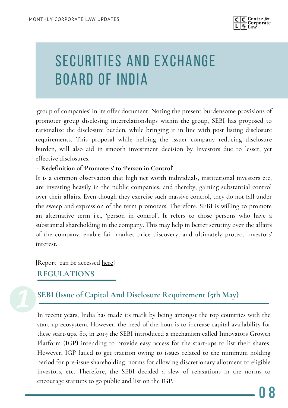

'group of companies' in its offer document. Noting the present burdensome provisions of promoter group disclosing interrelationships within the group, SEBI has proposed to rationalize the disclosure burden, while bringing it in line with post listing disclosure requirements. This proposal while helping the issuer company reducing disclosure burden, will also aid in smooth investment decision by Investors due to lesser, yet effective disclosures.

#### **- Redefinition of 'Promoters' to 'Person in Control'**

It is a common observation that high net worth individuals, institutional investors etc, are investing heavily in the public companies, and thereby, gaining substantial control over their affairs. Even though they exercise such massive control, they do not fall under the sweep and expression of the term promoters. Therefore, SEBI is willing to promote an alternative term i.e., 'person in control'. It refers to those persons who have a substantial shareholding in the company. This may help in better scrutiny over the affairs of the company, enable fair market price discovery, and ultimately protect investors' interest.

[Report can be accessed <u>here</u>]

## **REGULATIONS**

## **SEBI (Issue of Capital And Disclosure Requirement (5th May)**

In recent years, India has made its mark by being amongst the top countries with the start-up ecosystem. However, the need of the hour is to increase capital availability for these start-ups. So, in 2019 the SEBI introduced a mechanism called Innovators Growth Platform (IGP) intending to provide easy access for the start-ups to list their shares. However, IGP failed to get traction owing to issues related to the minimum holding period for pre-issue shareholding, norms for allowing discretionary allotment to eligible investors, etc. Therefore, the SEBI decided a slew of relaxations in the norms to encourage startups to go public and list on the IGP.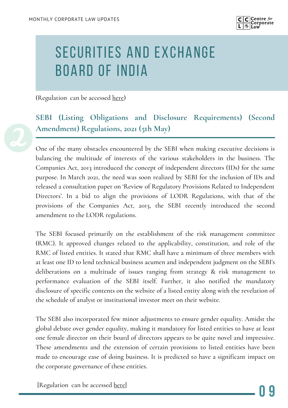

(Regulation can be accessed [here\)](https://www.sebi.gov.in/legal/regulations/may-2021/securities-and-exchange-board-of-india-issue-of-capital-and-disclosure-requirements-second-amendment-regulations-2021_50078.html)

## **SEBI (Listing Obligations and Disclosure Requirements) (Second Amendment) Regulations, 2021 (5th May)**

One of the many obstacles encountered by the SEBI when making executive decisions is balancing the multitude of interests of the various stakeholders in the business. The Companies Act, 2013 introduced the concept of independent directors (IDs) for the same purpose. In March 2021, the need was soon realized by SEBI for the inclusion of IDs and released a consultation paper on 'Review of Regulatory Provisions Related to Independent Directors'. In a bid to align the provisions of LODR Regulations, with that of the provisions of the Companies Act, 2013, the SEBI recently introduced the second amendment to the LODR regulations.

The SEBI focused primarily on the establishment of the risk management committee (RMC). It approved changes related to the applicability, constitution, and role of the RMC of listed entities. It stated that RMC shall have a minimum of three members with at least one ID to lend technical business acumen and independent judgment on the SEBI's deliberations on a multitude of issues ranging from strategy & risk management to performance evaluation of the SEBI itself. Further, it also notified the mandatory disclosure of specific contents on the website of a listed entity along with the revelation of the schedule of analyst or institutional investor meet on their website.

The SEBI also incorporated few minor adjustments to ensure gender equality. Amidst the global debate over gender equality, making it mandatory for listed entities to have at least one female director on their board of directors appears to be quite novel and impressive. These amendments and the extension of certain provisions to listed entities have been made to encourage ease of doing business. It is predicted to have a significant impact on the corporate governance of these entities.

[Regulation can be accessed [here](https://www.sebi.gov.in/legal/regulations/may-2021/securities-and-exchange-board-of-india-listing-obligations-and-disclosure-requirements-second-amendment-regulations-2021_50100.html)]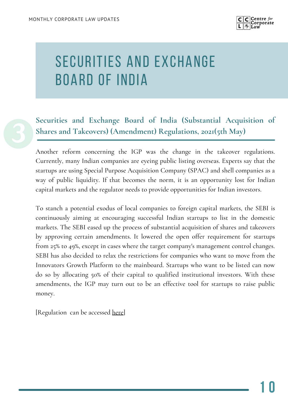

## **Securities and Exchange Board of India (Substantial Acquisition of Shares and Takeovers) (Amendment) Regulations, 2021(5th May)**

Another reform concerning the IGP was the change in the takeover regulations. Currently, many Indian companies are eyeing public listing overseas. Experts say that the startups are using Special Purpose Acquisition Company (SPAC) and shell companies as a way of public liquidity. If that becomes the norm, it is an opportunity lost for Indian capital markets and the regulator needs to provide opportunities for Indian investors.

To stanch a potential exodus of local companies to foreign capital markets, the SEBI is continuously aiming at encouraging successful Indian startups to list in the domestic markets. The SEBI eased up the process of substantial acquisition of shares and takeovers by approving certain amendments. It lowered the open offer requirement for startups from 25% to 49%, except in cases where the target company's management control changes. SEBI has also decided to relax the restrictions for companies who want to move from the Innovators Growth Platform to the mainboard. Startups who want to be listed can now do so by allocating 50% of their capital to qualified institutional investors. With these amendments, the IGP may turn out to be an effective tool for startups to raise public money.

[Regulation can be accessed [here](https://www.sebi.gov.in/legal/regulations/may-2021/securities-and-exchange-board-of-india-substantial-acquisition-of-shares-and-takeovers-amendment-regulations-2021_50077.html)]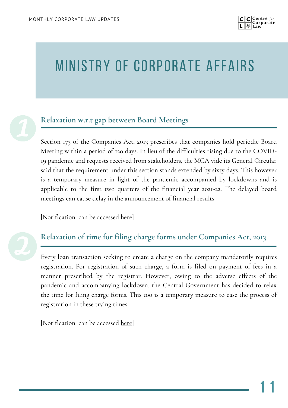

## MINISTRY OF CORPORATE AFFAIRS



#### **Relaxation w.r.t gap between Board Meetings**

Section 173 of the Companies Act, 2013 prescribes that companies hold periodic Board Meeting within a period of 120 days. In lieu of the difficulties rising due to the COVID-19 pandemic and requests received from stakeholders, the MCA vide its General Circular said that the requirement under this section stands extended by sixty days. This however is a temporary measure in light of the pandemic accompanied by lockdowns and is applicable to the first two quarters of the financial year 2021-22. The delayed board meetings can cause delay in the announcement of financial results.

[Notification can be accessed [here](https://www.mca.gov.in/bin/dms/getdocument?mds=dZUwhX9hMCv9X%252B5hgAoe5A%253D%253D&type=open)]



### **Relaxation of time for filing charge forms under Companies Act, 2013**

Every loan transaction seeking to create a charge on the company mandatorily requires registration. For registration of such charge, a form is filed on payment of fees in a manner prescribed by the registrar. However, owing to the adverse effects of the pandemic and accompanying lockdown, the Central Government has decided to relax the time for filing charge forms. This too is a temporary measure to ease the process of registration in these trying times.

[Notification can be accessed [here](https://www.mca.gov.in/bin/dms/getdocument?mds=Jk5WdP58JBNwkqVJxXfhbQ%253D%253D&type=open)]